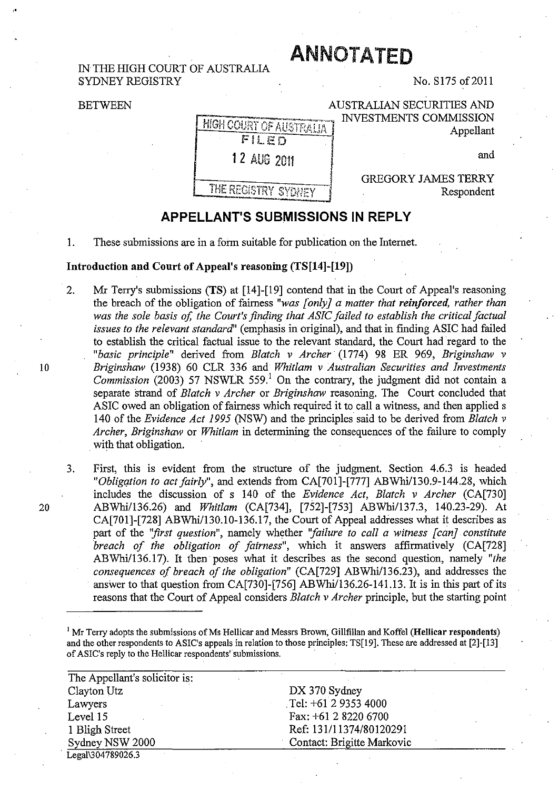## IN THE HIGH COURT OF AUSTRALIA SYDNEY REGISTRY

# ANNOTATED

No. S175 of 2011

AUSTRALIAN SECURITIES AND

#### **BETWEEN**

INVESTMENTS COMMISSION **HIGH COURT OF AUSTRALIA** Appellant FILED 12 AUG 2011 and **GREGORY JAMES TERRY** THE REGISTRY SYDNEY Respondent

## **APPELLANT'S SUBMISSIONS IN REPLY**

1. These submissions are in a form suitable for publication on the Internet.

#### Introduction and Court of Appeal's reasoning (fS[14]-[19])

- 2. Mr Terry's submissions (TS) at [14]-[19] contend that in the Court of Appeal's reasoning the breach of the obligation of fairness *"was [only] a matter that reinforced, rather than was the sole basis of, the Court's finding that ASIC failed to establish the critical factual issues to the relevant standard"* (emphasis in original), and that in fmding ASIC had failed to establish the critical factual issue to the relevant standard, the Court had regard to the *"basic principle"* derived from *Blatch v Archer'* (1774) 98 ER 969, *Briginshaw v*  10 *Briginshaw* (1938) 60 CLR 336 and *Whitlam v Australian Securities and Investments Commission*  $(2003)$  57 NSWLR 559.<sup>1</sup> On the contrary, the judgment did not contain a separate strand of *Blatch v Archer* or *Briginshaw* reasoning. The Court concluded that ASIC owed an obligation of fairness which required it to call a witness, and then applied s 140 of the *Evidence Act* 1995 (NSW) and the principles said to be derived from *Blatch v Archer, Briginshaw* or *Whitlam* in determining the consequences of the failure to comply with that obligation.
- 3. First, this is evident from the structure of the judgment. Section 4.6.3 is headed *"Obligqtion to act fairly",* and extends from CA[701]-[777] *ABWhil130.9-144.28,* which includes the discussion of s 140 of the *Evidence Act, Blatch v Archer* (CA[730] *20 ABWhi/136.26)* and *Whitlam* (CA[734], [752]-[753] *ABWhil137.3,* 140.23-29). At CA[701]-[728] ABWhi/130.10-136.17, the Court of Appeal addresses what it describes as part of the *"first question",* namely whether *''failure to call a witness [can] constitute breach of the obligation of fairness",* which it answers affirmatively (CA[728] *ABWhilI36.17).* It then' poses what it describes as the second question, namely *"the consequences of breach of the obligation"* (CA[729] *ABWhil136.23),* and addresses the answer to that question from CA[730]-[756] *ABWhil136.26-141.13.* It is in this part of its reasons that the Court of Appeal considers *Blatch v Archer* principle, but the starting point

 $1$  Mr Terry adopts the submissions of Ms Hellicar and Messrs Brown, Gillfillan and Koffel (Hellicar respondents) and the other respondents to ASIC's appeals in relation to those prineiples:TS[19]. These are addressed at [2]-[l3] of ASIC's reply to the Helliear respondents"submissions.

| The Appellant's solicitor is: |                            |
|-------------------------------|----------------------------|
| Clayton Utz                   | DX 370 Sydney              |
| Lawyers                       | Tel: $+61$ 2 9353 4000     |
| Level 15                      | Fax: +61 2 8220 6700       |
| 1 Bligh Street                | Ref: 131/11374/80120291    |
| Sydney NSW 2000               | Contact: Brigitte Markovic |
| Legal\304789026.3             |                            |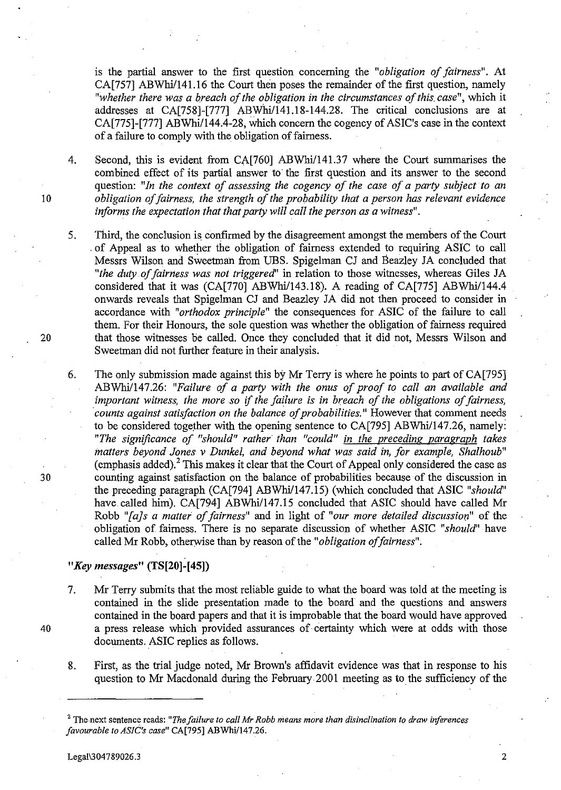is the partial answer to the first question concerning the "*obligation of fairness*". At CA[757] ABWhi/141.16 the Court then poses the remainder of the first question, namely *"whether there was a breach of the obligation in the circumstances of this. case",* which it addresses at CA[758]-[777] ABWhi/141.18-144.28. The critical conclusions are at CA[775]-[777] ABWhi/144.4-28, which concern the cogency of ASIC's case in the context of a failure to comply with the obligation of fairness.

4. Second, this is evident from CA[760] ABWhil141.37 where the Court summarises the combined effect of its partial answer to the first question and its answer to the second question: *"In the context of assessing the cogency of the case of a party subject to an*  10 *obligation offairness, the strength of the probability that a person has relevant evidence informs the expectation that that party will call the person as a witness".* 

- 5. Third, the conclusion is confirmed by the disagreement amongst the members of the Court . of Appeal as to whether the obligation of fairness extended to requiring ASIC to call Messrs Wilson and Sweetmah from UBS. Spigelman CJ and Beazley JA concluded that *"the duty .of fairness was not triggered"* in relation to those witnesses, whereas Giles JA considered that it was (CA[770] ABWhi/143.18). A reading of CA[775] ABWhi/144.4 onwards reveals that Spigelman CJ and Beazley JA did not then proceed to consider in accordance with *"orthodox principle"* the consequences for ASIC of the failure to call them. For their Honours, the sole question was whether the obligation of fairness required 20 that those witnesses be called. Once they concluded that it did not, Messrs Wilson and Sweetman did not further feature in their analysis.
- 6. The only submission made against this by Mr Terry is where he points to part of CA[795] ABWhilI47.26: *"Failure of a party with the onus of proof to call an available and important witness, the more so* if *the failure* is in *breach of the obligations of fairness, counts against satisfaction on the balance of probabilities."* However that comment needs to be considered together with the opening sentence to CA[795] ABWhi/147.26, namely: *"The significance of "should" rather than "could" in the preceding paragraph takes matters beyond Jones* v *Dunkel, and beyond what was said in, for example, Shalhoub"*   $(emphasis added)<sup>2</sup> This makes it clear that the Court of Appeal only considered the case as$ 30 counting against satisfaction on the balance of probabilities because of the discussion in the preceding paragraph (CA[794] ABWhi/147.15) (which concluded that ASIC "should" have called him). CA[794] ABWhi/147.15 concluded that ASIC should have called Mr Robb *"[a]s a matter of fairness"* and in light of *"our more detailed discussiort"* of the obligation of fairness. There is no separate discussion of whether ASIC *"should'* have called Mr Robb, otherwise than by reason of the *"obligation offairness".*

### *"Key messages"* **(TS[20]-[45])**

- 7. Mr Terry submits that the most reliable guide to what the board was told at the meeting is contained in the slide presentation made to the board and the questions and answers contained in the board papers and that it is improbable that the board would have approved 40 a press release which provided assurances of certainty which were at odds with those documents. ASIC replies as follows.
	- 8. First, as the trial judge noted, Mr Brown's affidavit evidence was that in response to his question to Mr Macdonald during the February 2001 meeting as to the sufficiency of the

<sup>2</sup> The.next sentence reads: *"The failure to call Mr Robb means more than disinclination to draw inferences favourable to ASIC's case*" CA[795] ABWhi/147.26.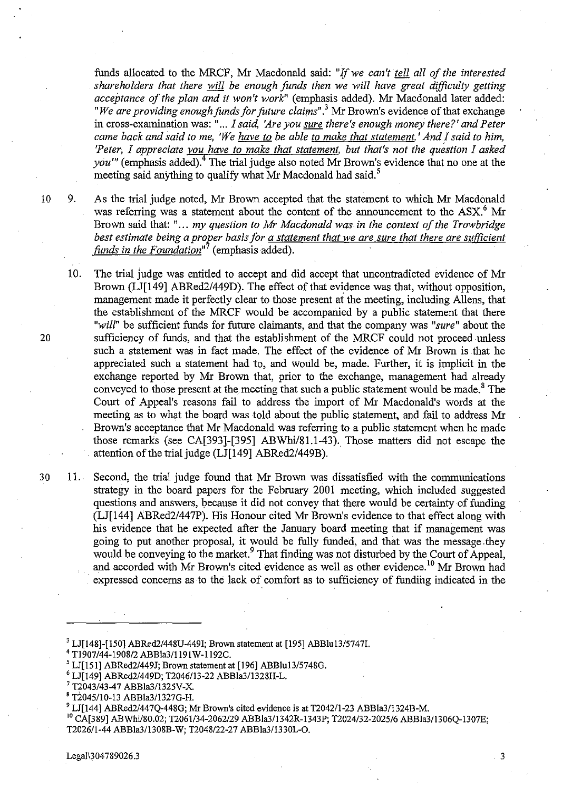funds allocated to the MRCF, Mr Macdonald said: "If we can't tell all of the interested *shareholders that there will be enough funds then* we *will have great difficulty getting acceptance of the plan and it won't work*" (emphasis added). Mr Macdonald later added: *"We are providing enough funds for future claims*".<sup>3</sup> Mr Brown's evidence of that exchange in cross-examination was: " ... *I said, 'Are you sure there's enough money there?' and Peter came back and said to me, 'We have to be able to make that statement.* ' *And I said to him, 'Peter, I appreciate you have to make that statement, but that's not the question I asked you'''* (emphasis added).<sup>4</sup> The trial judge also noted Mr Brown's evidence that no one at the meeting said anything to qualify what Mr Macdonald had said.<sup>5</sup>

ID 9. As the trial judge noted, Mr Brown accepted that the statement to which Mr Macdonald was referring was a statement about the content of the announcement to the  $\text{ASX}$ .<sup>6</sup> Mr Brown said that: " ... *my question to Mr Macdonald was in the context of the Trowbridge best estimate being a proper basis for a statement that* we *are sure that there are sufficient funds in the Foundation*<sup>17</sup> (emphasis added).

10. The trial judge was entitled to accept and did accept that uncontradicted evidence of Mr Brown (LJ[149] *ABRed2/449D*). The effect of that evidence was that, without opposition, management made it perfectly clear to those present at the meeting, including AlIens, that the establishment of the MRCF would be accompanied by a public statement that there *"will"* be sufficient funds for future claimants, and that the company was *"sure"* about the 20 sufficiency of funds, and that the establishment of the MRCF could not proceed unless such a statement was in fact made. The effect of the evidence of Mr Brown is that he appreciated such a statement had to, and would be, made. Further, it is implicit in the exchange reported by Mr Brown that, prior to the exchange, management had already conveyed to those present at the meeting that such a public statement would be made.<sup>8</sup> The Court of Appeal's reasons fail to address the import of Mr Macdonald's words at the meeting as to what the board was told about the public statement, and fail to address Mr Brown's acceptance that Mr Macdonald was referring to a public statement when he made those remarks (see CA[393]-[395] ABWhi/81.1-43). Those matters did not escape the attention of the trial judge  $(LJ[149] ABRed2/449B)$ .

30 11. Second, the trial judge found that Mr Brown was dissatisfied with the communications strategy in the board papers for the February 2001 meeting, which included suggested questions and answers, because it did not convey that there would be certainty of funding (LJ[144] ABRed2/447P). His Honour cited Mr Brown's evidence to that effect along with his evidence that he expected after the January board meeting that if management was going to put another proposal, it would be fully funded, and that was the message. they would be conveying to the market.<sup>9</sup> That finding was not disturbed by the Court of Appeal, and accorded with Mr Brown's cited evidence as well as other evidence.<sup>10</sup> Mr Brown had . expressed concerns as to the lack of comfort as to sufficiency of funding indicated in the

<sup>8</sup> T2045/10-13 ABBla3/1327G-H.

<sup>&</sup>lt;sup>3</sup> LJ[148]-[150] ABRed2/448U-449I; Brown statement at [195] ABBlu13/5747I.

<sup>4</sup> Tl907/44-1908/2 ABBla3/119IW-1192C.

<sup>&</sup>lt;sup>5</sup> LJ[151] ABRed2/449J; Brown statement at [196] ABBlu13/5748G.

<sup>6</sup> LJ[149] ABRed2/449D; T2046113-22 ABBla3/1328H-L.

<sup>7</sup> T2043/43-47 ABBla311325V-X.

<sup>&</sup>lt;sup>9</sup> LJ[144] ABRed2/447Q-448G; Mr Brown's cited evidence is at T2042/1-23 ABBIa3/1324B-M.

<sup>&</sup>lt;sup>10</sup> CA[389] ABWhi/80.02; T2061/34-2062/29 ABBla3/1342R-1343P; T2024/32-2025/6 ABBla3/1306Q-1307E; T202611-44 ABBla311308B-W; T2048/22-27 ABBla3/1330L-O.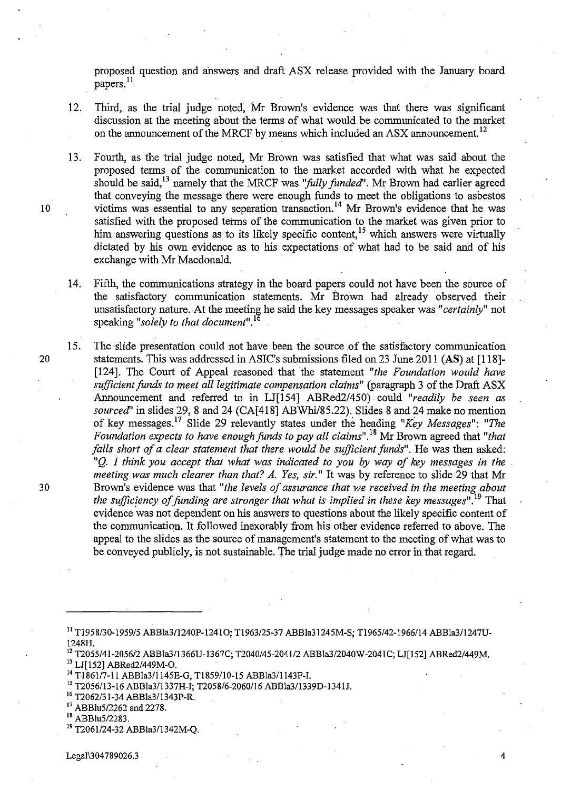proposed question and ahswers and draft ASX release provided with the January board papers. 11

- 12. Third, as the. trial judge noted, Mr Brown's evidence was that there was significant discussion at the meeting about the terms of what would be communicated to the market on the announcement of the MRCF by means which included an ASX announcement.<sup>12</sup>
- 13. Fourth, as the trial judge noted, Mr Brown was satisfied that what was said about the proposed terms of the communication to the market accorded with what he expected should be said,13 namely that the MRCF was *''folly funded'.* Mr Brown had earlier agreed that conveying the message there were enough funds to meet the obligations to asbestos 10 victims was essential to any separation transaction.<sup>14</sup> Mr Brown's evidence that he was satisfied with the proposed terms of the communication to the market was given prior to him answering questions as to its likely specific content,<sup>15</sup> which answers were virtually dictated by his own evidence as to his expectations of what had to be said and of his exchange with Mr Macdonald.
	- 14. Fifth, the communications strategy in the board papers could not have been the source of the satisfactory communication statements. Mr Brown had already observed their unsatisfactory nature.· At the meeting he said the key messages speaker was *"certainly"* not speaking *"solely to that document".* <sup>16</sup>
- 15. The slide presentation could not have been the source of the satisfactory communication 20 statements. This was addressed in ASIC's submissions filed on 23 June 2011 (AS) at [118]- [124]. The Court of Appeal reasoned that the statement *"the Foundation would have sufficient funds to meet all legitimate compensation claims"* (paragraph 3 of the Draft ASX Aunouncement and referred to in LJ[154] ABRed2/450) could *"readily be seen as sourced'* in slides 29,8 and 24 (CA[418] ABWhi/85.22). Slides 8 and 24 make no mention of key messages.<sup>17</sup> Slide 29 relevantly states under the heading "Key Messages": "The *Foundation expects to have enough funds to pay all claims*".<sup>18</sup> Mr Brown agreed that "that falls short of a clear statement that there would be sufficient funds". He was then asked: "Q. I think you accept that what was indicated to you by way of key messages in the *meeting was much clearer than that? A. Yes, sir."* It was by reference to slide 29 that Mr 30 Brown's evidence was that *"the levels of assurance that we received in the meeting about the sufficiency of funding are stronger that what is implied in these key messages".19* That evidence was not dependent on his answers to questions about the likely specific content of the communication. It followed inexorably from his other evidence referred to above. The appeal to the slides as the source of management's statement to the meeting of what was to be conveyed publicly, is not sustainable. The trial judge made no error in that regard.
	- 11 TJ958/30-1959/5 ABBla311240P-12410; TJ963/25-37 ABBla31245M-S; TJ965/42-1966/14 ABBla311247U-1248H.
	- 12 T2055/41-2056/2 ABBla311366U-1367C; T2040/45-2041/2 ABBla3/2040W-2041C; LJ[152] ABRed2/449M. 13 LJ[152] ABRed2/449M-O.
	- 14 TJ861/7-11 ABBla3/1145E-G, T1859110-15 ABBla311143F-I.
	- 15 T2056/13-16 ABBla311337H-I; T2058/6-2060116 ABBla3/1339D-1341J.
	- 16 T2062/31-34 ABBla3/1343P-R.
	- 17 ABBlu5/2262 and 2278.
	- 18 ABBlu5/2283.
	- <sup>19</sup> T2061/24-32 ABBla3/1342M-Q.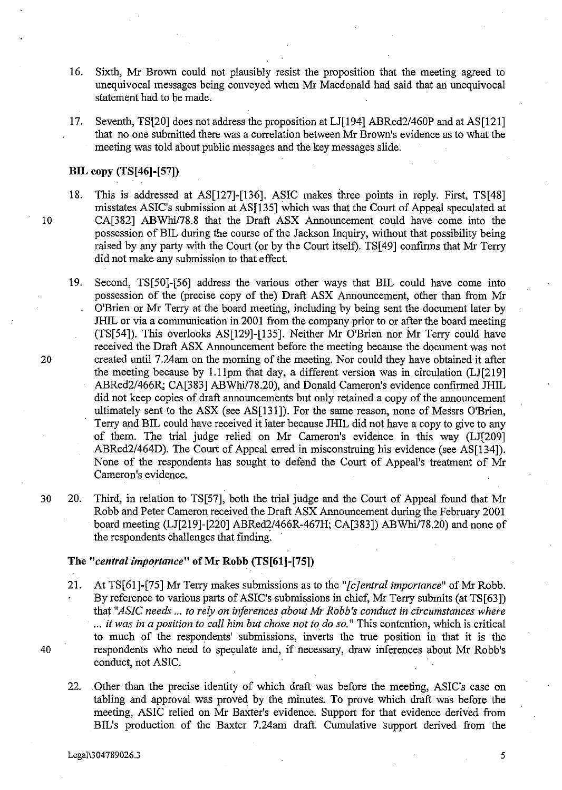- 16. Sixth, Mr Brown could not plausibly resist the proposition that the meeting agreed to unequivocal messages being conveyed when Mr Macdonald had said that an unequivocal statement had to be made. .
- 17. Seventh, TS[20] does not address the proposition at LJ[194] ABRed2/460P and at AS[121] that no one submitted there was a correlation between Mr Brown's evidence as to what the meeting was told about public messages and the key messages slide.

#### **BIL copy (TS[46]-[S7])**

- 18. This is addressed at AS[127]-[136]. ASIC makes three points in reply. First, TS[48] misstates ASIC's submission at AS[13S] which was that the Court of Appeal speculated at 10 CA[382] ABWhi178.8 that the Draft ASX Announcement could have come into the possession of BIL during the course of the Jackson Inquiry, without that possibility being raised by any party with the Court (or by the Court itself). TS[49] confirms that Mr Terry did not make any submission to that effect.
- 19. Second, TS[SO]-[S6] address the various other ways that BIL could have come into possession of the (precise copy of the) Draft ASX Announcement, other than from Mr O'Brien or Mr Terry at the board meeting, including by being sent the document later by JlllL or via a communication in 2001 from the company prior to or after the board meeting (TS[S4]). This overlooks AS[129]-[13S]. Neither Mr O'Brien nor Mr Terry could have received the Draft ASX Announcement before the meeting because the document was not 20 created until 7.24am on the morning of the meeting. Nor could they have obtained it after the meeting because by 1.11pm that day, a different version was in circulation (LJ[219] ABRed2/466R; CA[383] ABWhi/78.20), and Donald Cameron's evidence confirmed JHIL did not keep copies of draft announcements but only retained a copy of the announcement ultimately sent to the ASX (see AS[13J]). For the same reason, none of Messrs O'Brien, Terry and BIL could have received it later because JHIL did not have a copy to give to any of them. The trial judge relied on Mr Cameron's evidence in this way (LJ[209] ABRed2/464D). The Court of Appeal erred in misconstruing his evidence (see AS[134]). None of the respondents has sought to defend the Court of Appeal's treatment of Mr Cameron's evidence.
- 30 20. Third, in relation to TS[S7], both the trial judge and the Court of Appeal found that Mr Robb and Peter Cameron received the Draft ASX Announcement during the February 2001 board meeting (LJ[219]-[220] ABRed2/466R-467H; CA[383]) *ABWhil78.20)* and none of the respondents challenges that fmding.

## **The** *"central importance"* **ofMr Robb (TS[61]-[7S])**

- 21. At TS[61]-[75] Mr Terry makes submissions as to the "*[c]entral importance*" of Mr Robb. By reference to various parts of ASIC's submissions in chief, Mr Terry submits (at TS[63]) that *"ASIC needs* ... *to rely on inferences about Mr Robb's conduct in circumstances where*  ... it *was in a position to call him but chose not to do so."* This contention, which is critical to much of the respondents' submissions, inverts the true position in that it is the 40 respondents who need to speculate and, if necessary, draw inferences about Mr Robb's conduct, not ASIC.
	- 22. .Other than the precise identity of which draft was before the meeting, ASIC's case on tabling and approval was proved by the minutes. To prove which draft was before the meeting, ASIC relied on Mr Baxter's evidence. Support for that evidence derived from BIL's production of the Baxter 7.24am draft. Cumulative Support derived from the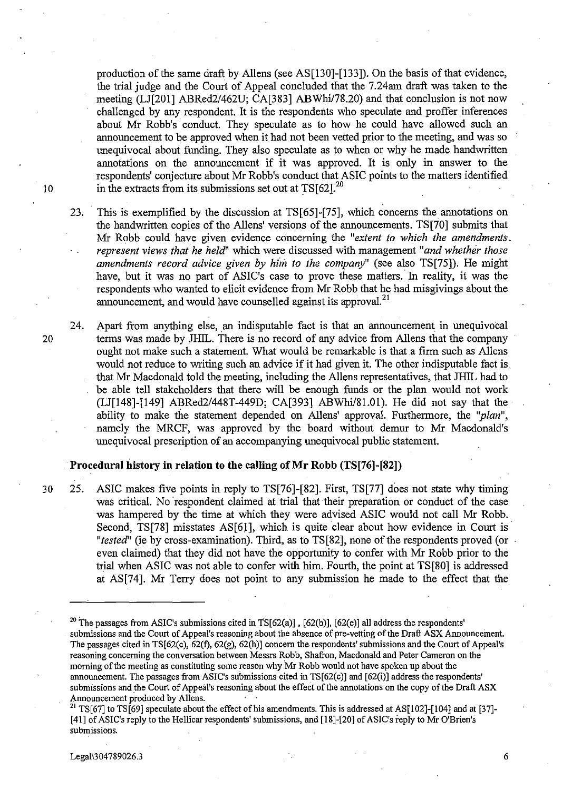production of the same draft by Allens (see AS[130]-[133]). On the basis of that evidence, the trial judge and the Court of Appeal concluded that the 7.24am draft was taken to the meeting (LJ[201] ABRed2/462U; CA[383] ABWhi/78.20) and that conclusion is not now challenged by any respondent. It is the respondents who speculate and proffer inferences about Mr Robb's conduct. They speculate as to how he could have allowed such an announcement to be approved when it had not been vetted prior to the meeting, and was so unequivocal about funding. They also speculate as to when or why he made handwritten annotations on the announcement if it was approved. It is only in answer to the respondents' conjecture about Mr Robb's conduct that ASIC points to the matters identified in the extracts from its submissions set out at  $TS[62]$ .<sup>20</sup> meeting (LJ[201] ABRed2/462U; CA[383] ABWhi/78.20) and that conclusion is not now<br>challenged by any respondent. It is the respondents who speculate and proffer inferences<br>about Mr Robb's conduct. They speculate as to how

- 23. This is exemplified by the discussion at TS[65]-[75], which concerns the annotations on the handwritten copies of the AlIens' versions of the announcements. TS[70] submits that Mr Robb could have given evidence concerning the *"extent to which the amendments. represent views that he held"* which were discussed with management *"and whether those amendments record advice given by him to the company"* (see also TS[75]). He might have, but it was no part of ASIC's case to prove these matters.' In reality, it was the respondents who wanted to elicit evidence from Mr Robb that he had misgivings about the announcement, and would have counselled against its approval.<sup>21</sup>
- 24. Apart from anything else, an indisputable fact is that an announcement in unequivocal 20 terms was made by JHIL. There is no record of any advice from Allens that the company ought not make such a statement. What would be remarkable is that a firm such as AlIens would not reduce to writing such an advice if it had given it. The other indisputable fact is, that Mr Macdonald told the meeting, including the AlIens representatives, that JHIL had to be able tell stakeholders that there will be enough funds or the plan would not work (LJ[148]-[149] ABRed2/448T-449D; CA[393] ABWhil81.01). He did not say that the ability to make the statement depended on Allens' approval. Furthermore, the "plan", namely the MRCF, was approved by the board without demur to Mr Macdonald's unequivocal prescription of an accompanying unequivocal public statement.

#### Procedural history in relation to the calling of Mr Robb (TS[76]-[82])

30 25. ASIC makes five points in reply to TS[76]-[82]. First, TS[77] does not state why timing was critical. No 'respondent claimed at trial that their preparation or conduct of the case was hampered by the time at which they were advised ASIC would not call Mr Robb. Second, TS[78] misstates AS[61], which is quite clear about how evidence in Court is *"tested"* (ie by cross-examination). Third, as to TS[82], none of the respondents proved (or even claimed) that they did not have the opportunity to confer with Mr Robb prior to the trial when ASIC was not able to confer with him. Fourth, the point at TS[80] is addressed at AS[74]. Mr Terry does not point to any submission he made to the effect that the

<sup>&</sup>lt;sup>20</sup> The passages from ASIC's submissions cited in TS[62(a)], [62(b)], [62(e)] all address the respondents' submissions and the Court of Appeal's reasoning about the absence of pre-vetting of the Draft ASX Announcement. The passages cited in TS[62(c), 62(f), 62(g), 62(h)] concern the respondents' submissions and the Court of Appeal's reasoning concerning the conversation between Messrs Robb, Shafron, Macdonald and Peter Cameron on the morning of the meeting as constituting some reason why Mr Robb would not have spoken up about the announcement. The passages from ASIC's submissions cited in TS[62(c)] and [62(i)] address the respondents' submissions and the Court of Appeal's reasoning about the effect of the annotations on the copy of the Draft ASX Announcement produced by Aliens.

<sup>&</sup>lt;sup>21</sup> TS[67] to TS[69] speculate about the effect of his amendments. This is addressed at AS[102]-[104] and at [37]-[41] of ASIC's reply to tbe Hellicar respondents' submissions, and [18]-[20] of ASIC's reply to Mr O'Brien's **submissions.**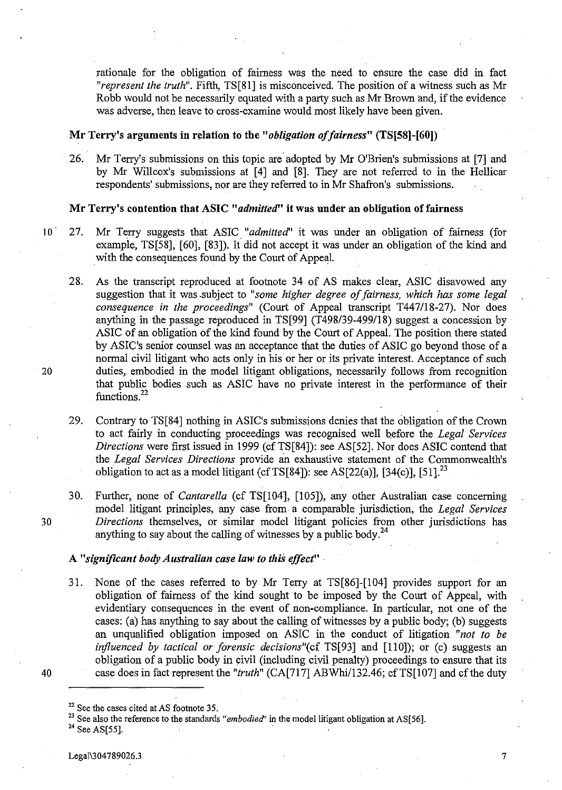rationale for the obligation of fairness was the need to ensure the case did in fact *"represent the truth".* Fifth, TS[SI] is misconceived. The position of a witness such as Mr Robb would not be necessarily equated with a party such as Mr Brown and, if the evidence was adverse, then leave to cross-examine would most likely have been given.

#### Mr Terry's arguments in relation to the "*obligation of fairness*" (TS[58]-[60])

26. Mr Terry's submissions on this topic are adopted by Mr O'Brien's submissions at [7] and by Mr Willcox's submissions at [4] and [S]. They are not referred to in the Hellicar respondents' submissions, nor are they referred to in Mr Shafron's submissions.

#### Mr Terry's contention that ASIC "*admitted*" it was under an obligation of fairness

- 10 27. Mr Terry suggests that ASIC. *"admitted"* it was under an obligation of fairness (for example, TS[5S], [60], [S3]). It did not accept it was under an obligation of the kind and with the consequences found by the Court of Appeal.
- 2S. As the transcript reproduced at footnote 34 of AS makes clear, ASIC disavowed any suggestion that it was .subject to *"some higher degree of fairness, which has some legal consequence in the proceedings"* (Court of Appeal transcript T447/1S-27). Nor does anything in the passage reproduced in TS[99] (T498/39-499/18) suggest a concession by ASIC of an obligation of the kind found by the Court of Appeal. The position there stated by ASIC's senior counsel was an acceptance that the duties of ASIC go beyond those of a normal civil litigant who acts only in his or her or its private interest. Acceptance of such 20 duties, embodied in the model litigant obligations, necessarily follows from recognition that public bodies such as ASIC have no private interest in the performance of their functions.<sup>22</sup>

29. Contrary to TS[S4] nothing in ASIC's submissions denies that the obligation of the Crown to act fairly in conducting proceedings was recognised well before the *Legal Services Directions* were first issued in 1999 (cf TS[84]): see AS[52]. Nor does ASIC contend that the *Legal Services Directions* provide an exhaustive statement of the Commonwealth's obligation to act as a model litigant (cf TS[84]): see AS[22(a)], [34(c)], [51].<sup>23</sup>

30. Further, none of *Cantarella* (cf TS[104], [105]), any other Australian case concerning model litigant principles, any case from· a comparable jurisdiction, the *Legal Services 30 Directions* themselves, or similar model litigant policies from other jurisdictions has anything to say about the calling of witnesses by a public body. $^{24}$ 

### A "significant body Australian case law to this effect"

- 31. None of the cases referred to by Mr Terry at TS[S6]-[104] provides support for an obligation of fairness of the kind sought to be imposed by the Court of Appeal, with evidentiary consequences in the event of non-compliance. In particular, not one of the cases: (a) has anything to say about the calling of witnesses by a public body; (b) suggests an unqualified obligation imposed on ASIC in the conduct of litigation *"not to be influenced by tactical or forensic decisions*"(cf TS[93] and [110]); or (c) suggests an obligation of a public body in civil (including civil penalty) proceedings to ensure that its 40 case does in fact represent the "truth" (CA[717] ABWhi/132.46; cf TS[107] and cf the duty
- 

23 See also the reference to the standards *"embodied'* in the model litigant obligation at AS[56].

 $22$  See the cases cited at AS footnote 35.

<sup>24</sup> See AS[55].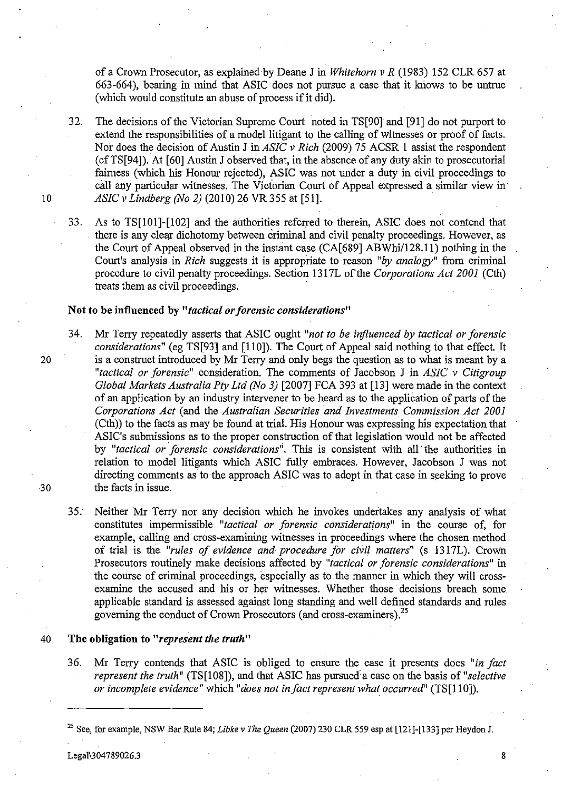of a Crown Prosecutor, as explained by Deane J in *Whitehorn* v *R* (1983) 152 CLR 657 at 663-664), bearing in mind that ASIC does not pursue a case that it knows to be untrue (which would constitute an abuse of process if it did).

32. The decisions of the Victorian Supreme Court noted in TS[901 and [91] do not purport to extend the responsibilities of a model litigant to the calling of witnesses or proof of facts. Nor does the decision of Austin J in *ASIC* v *Rich* (2009) 75 ACSR 1 assist the respondent (cfTS[94]). At [60] Austin J observed that, in the absence of any duty akin to prosecutorial fairness (which his Honour rejected), ASIC was not under a duty in civil proceedings to call any particular witnesses. The Victorian Court of Appeal expressed a similar view in *10 ASIC* v *Lindberg (No* 2) (2010) 26 VR 355 at [51].

33. As to TS[101]-[102] and the authorities referred to therein, ASIC does not contend that there is any clear dichotomy between criminal and civil penalty proceedings. However, as the Court of Appeal observed in the instant case  $(CA[689] ABWhi/128.11)$  nothing in the Court's analysis in *Rich* suggests it is appropriate to reason *"by analogy"* from criminal procedure to civil penalty proceedings. Section 1317L of the *Corporations Act 2001* (Cth) treats them as civil proceedings.

## Not to be influenced by *"tactical or forensic considerations"*

- 34. Mr Terry repeatedly asserts that ASIC ought *"not to be influenced by tactical or forensic considerations"* (eg TS[93] and [110]). The Court of Appeal said nothing to that effect It 20 is a construct introduced by Mr Terry and only begs the question as to what is meant by a *"tactical or forensiC"* consideration. The comments of Jacobson J in *ASIC* v *Citigroup Global Markets Australia Pty Ltd (No* 3) [2007] FCA 393 at [13] were made in the context of an application by an industry intervener to be heard as to the application of parts of the *Corporations Act* (and the *Australian Securities and Investments Commission Act 2001*  (Cth)) to the facts as may be found at trial. His Honour was expressing his expectation that ASIC's submissions as to the proper construction of that legislation would not be affected by *"tactical or forensic considerations';.* This is consistent with all· the authorities in relation to model litigants which ASIC fully embraces. However, Jacobson J was not directing comments as to the approach ASIC was to adopt in that case in seeking to prove 30 the facts in issue.
	- 35. Neither Mr Terry nor any decision which he invokes undertakes any analysis of what constitutes impermissible *"tactical or forensic considerations"* in the course of, for example, calling and cross-examining witnesses in proceedings where the chosen method of trial is the *"rules of evidence and procedure for civil matters"* (s 1317L). Crown Prosecutors routinely make decisions affected by *"tactical or forensic considerations"* in the course of criminal proceedings, especially as to the manner in which they will crossexamine the accused and his or her witnesses. Whether those decisions breach some applicable standard is assessed against long standing and well defined standards and rules governing the conduct of Crown Prosecutors (and cross-examiners).<sup>25</sup>

#### 40 The obligation to *"represent the truth"*

36. Mr Terry contends that ASIC is obliged to ensure the case it presents does *"in fact represent the truth*" (TS[108]), and that ASIC has pursued a case on the basis of "selective *or incomplete evidence"* which "does not in fact represent what occurred" (TS[110]).

Legal\3 04789026.3 8

<sup>&</sup>lt;sup>25</sup> See, for example, NSW Bar Rule 84; *Libke v The Queen* (2007) 230 CLR 559 esp at [121]-[133] per Heydon J.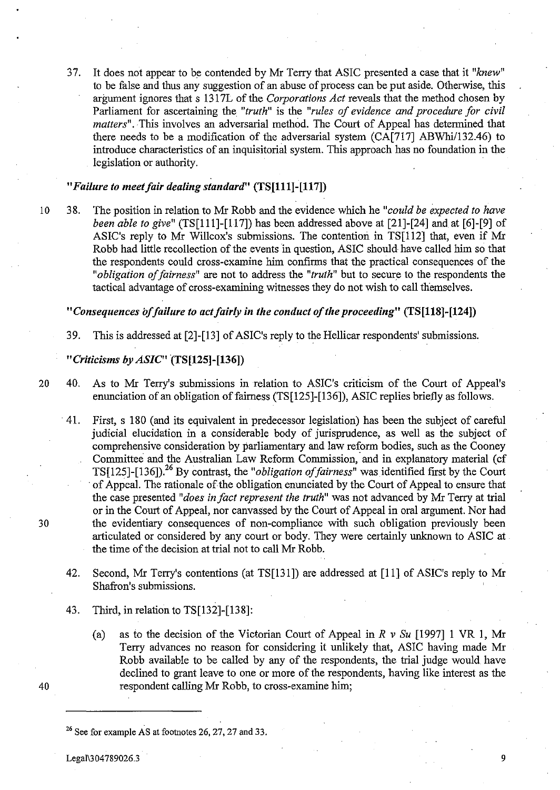37. It does not appear to be contended by Mr Terry that ASIC presented a case that it "knew" to be false and thus any suggestion of an abuse of process can be put aside. Otherwise, this argument ignores that s 1317L of the *Corporations Act* reveals that the method chosen by Parliament for ascertaining the *"truth"* is the *"rules of evidence and procedure for civil matters".* This involves an adversarial method. The Court of Appeal has determined that there needs to be a modification of the adversarial system (CA[717] ABWhi/132.46) to introduce characteristics of an inquisitorial system. This approach has no foundation in the legislation or authority.

## *"Failure to meetfair dealing standard"* (TS[111]-[117])

10 38. The position in relation to Mr Robb and the evidence which he *"could be expected to have been able to give"* (TS[11l]-[117]) has been addressed above at [21]-[24] and at [6]-[9] of ASIC's reply to Mr Willcox's submissions. The contention in TS[112] that, even if Mr Robb had little recollection of the events in question, ASIC should have called him so that the respondents could cross-examine him confirms that the practical consequences of the "*obligation of fairness*" are not to address the "truth" but to secure to the respondents the tactical advantage of cross-examining witnesses they do not wish to call themselves.

*"Consequences offailure to actfairly* in *the conduct of the proceeding"* (TS[U8]-[124])

39. This is addressed at [2]-[13] of ASIC's reply to the Hellicar respondents' submissions.

## *"Criticisms by ASIC"(TS[125]-[136])*

- 20 40. As to Mr Terry's submissions in relation to ASIC's criticism of the Court of Appeal's enunciation of an obligation of fairness (TS $[125]$ - $[136]$ ), ASIC replies briefly as follows.
- 41. First, s 180 (and its equivalent in predecessor legislation) has been the subject of careful judicial elucidation in a considerable body of jurisprudence, as well as the subject of comprehensive consideration by parliamentary and law reform bodies, such as the Cooney Committee and the Australian Law Reform Commission, and in explanatory material (cf TS[125]-[136]).26 By contrast, the *"obligation offairness"* was identified first by the Court of Appeal. The rationale of the obligation enunciated by the Court of Appeal to ensure that the case presented *"does in fact represent the truth"* was not advanced by Mr Terry at trial or in the Court of Appeal, nor canvassed by the Court of Appeal in oral argument. Nor had 30 the evidentiary consequences of non-compliance with such obligation previously been articulated or considered by any court or body. They were certainly unknown to ASIC at the time of the decision at trial not to call Mr Robb.
	- 42. Second, Mr Terry's contentions (at TS[13 I]) are addressed at [11] of ASIC's reply to Mr Shafron's submissions.
	- 43. Third, in relation to TS[132]-[138]:
- (a) as to the decision of the Victorian Court of Appeal in *R* v *Su* [1997] 1 VR 1, Mr Terry advances no reason for considering it unlikely that, ASIC having made Mr Robb available to be called by any of the respondents, the trial judge would have declined to grant leave to one or more of the respondents, having like interest as the 40 respondent calling Mr Robb, to cross-examine him;

Legal\3047890263 9

 $26$  See for example AS at footnotes 26, 27, 27 and 33.